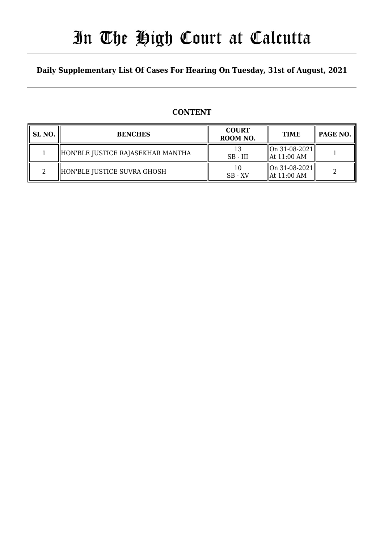# In The High Court at Calcutta

### **Daily Supplementary List Of Cases For Hearing On Tuesday, 31st of August, 2021**

### **CONTENT**

| SL <sub>NO</sub> . | <b>BENCHES</b>                    | <b>COURT</b><br>ROOM NO. | <b>TIME</b>                                                                    | PAGE NO. |
|--------------------|-----------------------------------|--------------------------|--------------------------------------------------------------------------------|----------|
|                    | HON'BLE JUSTICE RAJASEKHAR MANTHA | $SB - III$               | $\left\vert \right\vert$ On 31-08-2021 $\left\vert$<br>$\parallel$ At 11:00 AM |          |
|                    | HON'BLE JUSTICE SUVRA GHOSH       | 10<br>$SB - XV$          | $\left\vert \right\vert$ On 31-08-2021 $\left\vert$<br>$\parallel$ At 11:00 AM |          |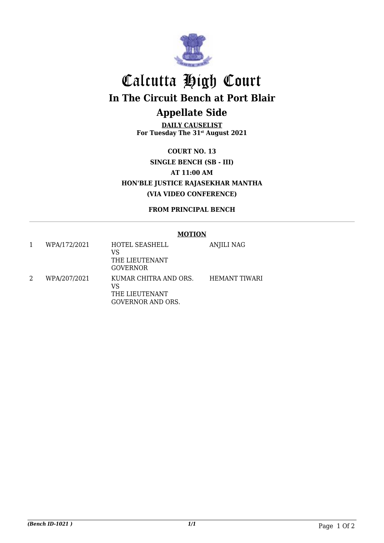

# Calcutta High Court **In The Circuit Bench at Port Blair Appellate Side**

**DAILY CAUSELIST For Tuesday The 31st August 2021**

**COURT NO. 13 SINGLE BENCH (SB - III) AT 11:00 AM HON'BLE JUSTICE RAJASEKHAR MANTHA (VIA VIDEO CONFERENCE)**

**FROM PRINCIPAL BENCH**

#### **MOTION**

| WPA/172/2021 | HOTEL SEASHELL<br>VS<br>THE LIEUTENANT<br>GOVERNOR                        | ANJILI NAG           |
|--------------|---------------------------------------------------------------------------|----------------------|
| WPA/207/2021 | KUMAR CHITRA AND ORS.<br>VS<br>THE LIEUTENANT<br><b>GOVERNOR AND ORS.</b> | <b>HEMANT TIWARI</b> |